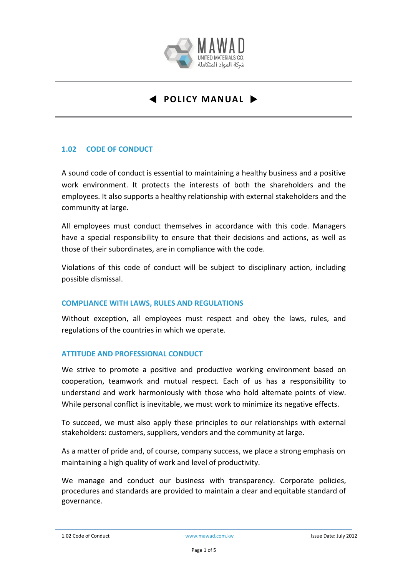

## **1.02 CODE OF CONDUCT**

A sound code of conduct is essential to maintaining a healthy business and a positive work environment. It protects the interests of both the shareholders and the employees. It also supports a healthy relationship with external stakeholders and the community at large.

All employees must conduct themselves in accordance with this code. Managers have a special responsibility to ensure that their decisions and actions, as well as those of their subordinates, are in compliance with the code.

Violations of this code of conduct will be subject to disciplinary action, including possible dismissal.

## **COMPLIANCE WITH LAWS, RULES AND REGULATIONS**

Without exception, all employees must respect and obey the laws, rules, and regulations of the countries in which we operate.

## **ATTITUDE AND PROFESSIONAL CONDUCT**

We strive to promote a positive and productive working environment based on cooperation, teamwork and mutual respect. Each of us has a responsibility to understand and work harmoniously with those who hold alternate points of view. While personal conflict is inevitable, we must work to minimize its negative effects.

To succeed, we must also apply these principles to our relationships with external stakeholders: customers, suppliers, vendors and the community at large.

As a matter of pride and, of course, company success, we place a strong emphasis on maintaining a high quality of work and level of productivity.

We manage and conduct our business with transparency. Corporate policies, procedures and standards are provided to maintain a clear and equitable standard of governance.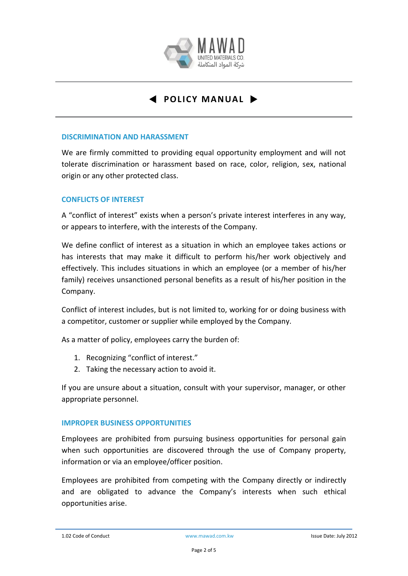

### **DISCRIMINATION AND HARASSMENT**

We are firmly committed to providing equal opportunity employment and will not tolerate discrimination or harassment based on race, color, religion, sex, national origin or any other protected class.

## **CONFLICTS OF INTEREST**

A "conflict of interest" exists when a person's private interest interferes in any way, or appears to interfere, with the interests of the Company.

We define conflict of interest as a situation in which an employee takes actions or has interests that may make it difficult to perform his/her work objectively and effectively. This includes situations in which an employee (or a member of his/her family) receives unsanctioned personal benefits as a result of his/her position in the Company.

Conflict of interest includes, but is not limited to, working for or doing business with a competitor, customer or supplier while employed by the Company.

As a matter of policy, employees carry the burden of:

- 1. Recognizing "conflict of interest."
- 2. Taking the necessary action to avoid it.

If you are unsure about a situation, consult with your supervisor, manager, or other appropriate personnel.

## **IMPROPER BUSINESS OPPORTUNITIES**

Employees are prohibited from pursuing business opportunities for personal gain when such opportunities are discovered through the use of Company property, information or via an employee/officer position.

Employees are prohibited from competing with the Company directly or indirectly and are obligated to advance the Company's interests when such ethical opportunities arise.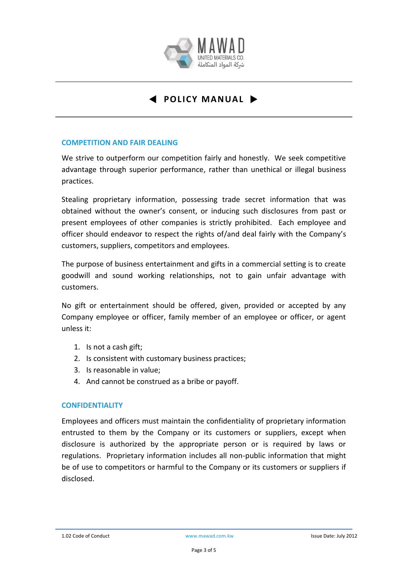

## **COMPETITION AND FAIR DEALING**

We strive to outperform our competition fairly and honestly. We seek competitive advantage through superior performance, rather than unethical or illegal business practices.

Stealing proprietary information, possessing trade secret information that was obtained without the owner's consent, or inducing such disclosures from past or present employees of other companies is strictly prohibited. Each employee and officer should endeavor to respect the rights of/and deal fairly with the Company's customers, suppliers, competitors and employees.

The purpose of business entertainment and gifts in a commercial setting is to create goodwill and sound working relationships, not to gain unfair advantage with customers.

No gift or entertainment should be offered, given, provided or accepted by any Company employee or officer, family member of an employee or officer, or agent unless it:

- 1. Is not a cash gift;
- 2. Is consistent with customary business practices;
- 3. Is reasonable in value;
- 4. And cannot be construed as a bribe or payoff.

## **CONFIDENTIALITY**

Employees and officers must maintain the confidentiality of proprietary information entrusted to them by the Company or its customers or suppliers, except when disclosure is authorized by the appropriate person or is required by laws or regulations. Proprietary information includes all non-public information that might be of use to competitors or harmful to the Company or its customers or suppliers if disclosed.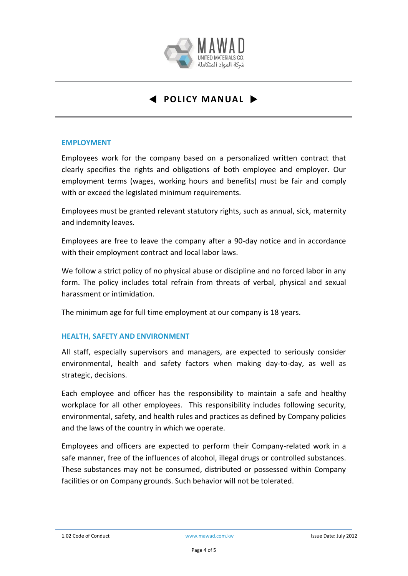

## **EMPLOYMENT**

Employees work for the company based on a personalized written contract that clearly specifies the rights and obligations of both employee and employer. Our employment terms (wages, working hours and benefits) must be fair and comply with or exceed the legislated minimum requirements.

Employees must be granted relevant statutory rights, such as annual, sick, maternity and indemnity leaves.

Employees are free to leave the company after a 90-day notice and in accordance with their employment contract and local labor laws.

We follow a strict policy of no physical abuse or discipline and no forced labor in any form. The policy includes total refrain from threats of verbal, physical and sexual harassment or intimidation.

The minimum age for full time employment at our company is 18 years.

## **HEALTH, SAFETY AND ENVIRONMENT**

All staff, especially supervisors and managers, are expected to seriously consider environmental, health and safety factors when making day-to-day, as well as strategic, decisions.

Each employee and officer has the responsibility to maintain a safe and healthy workplace for all other employees. This responsibility includes following security, environmental, safety, and health rules and practices as defined by Company policies and the laws of the country in which we operate.

Employees and officers are expected to perform their Company-related work in a safe manner, free of the influences of alcohol, illegal drugs or controlled substances. These substances may not be consumed, distributed or possessed within Company facilities or on Company grounds. Such behavior will not be tolerated.

<sup>1.02</sup> Code of Conduct www.mawad.com.kw Issue Date: July 2012